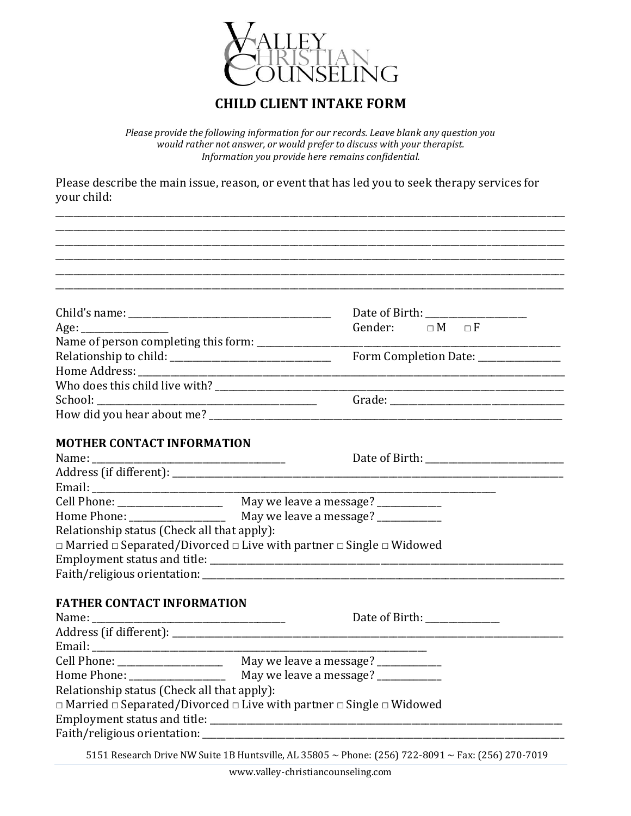

# **CHILD CLIENT INTAKE FORM**

*Please provide the following information for our records. Leave blank any question you would rather not answer, or would prefer to discuss with your therapist. Information you provide here remains confidential.*

\_\_\_\_\_\_\_\_\_\_\_\_\_\_\_\_\_\_\_\_\_\_\_\_\_\_\_\_\_\_\_\_\_\_\_\_\_\_\_\_\_\_\_\_\_\_\_\_\_\_\_\_\_\_\_\_\_\_\_\_\_\_\_\_\_\_\_\_\_\_\_\_\_\_\_\_\_\_\_\_\_\_\_\_\_\_\_\_\_\_\_\_\_\_\_\_\_\_\_\_\_\_\_\_\_\_\_\_\_\_\_

Please describe the main issue, reason, or event that has led you to seek therapy services for your child:

| Age: __________________                          | Gender: $\Box M \Box F$                                                                                                                                                                                                        |  |  |
|--------------------------------------------------|--------------------------------------------------------------------------------------------------------------------------------------------------------------------------------------------------------------------------------|--|--|
|                                                  |                                                                                                                                                                                                                                |  |  |
|                                                  | Form Completion Date: _____________                                                                                                                                                                                            |  |  |
| Home Address: _________                          |                                                                                                                                                                                                                                |  |  |
|                                                  |                                                                                                                                                                                                                                |  |  |
|                                                  |                                                                                                                                                                                                                                |  |  |
| How did you hear about me? _____________________ |                                                                                                                                                                                                                                |  |  |
|                                                  |                                                                                                                                                                                                                                |  |  |
| <b>MOTHER CONTACT INFORMATION</b>                |                                                                                                                                                                                                                                |  |  |
|                                                  | Date of Birth: The State of Birth:                                                                                                                                                                                             |  |  |
|                                                  |                                                                                                                                                                                                                                |  |  |
|                                                  |                                                                                                                                                                                                                                |  |  |
|                                                  |                                                                                                                                                                                                                                |  |  |
|                                                  |                                                                                                                                                                                                                                |  |  |
| Relationship status (Check all that apply):      |                                                                                                                                                                                                                                |  |  |
|                                                  | $\Box$ Married $\Box$ Separated/Divorced $\Box$ Live with partner $\Box$ Single $\Box$ Widowed                                                                                                                                 |  |  |
|                                                  |                                                                                                                                                                                                                                |  |  |
|                                                  |                                                                                                                                                                                                                                |  |  |
|                                                  |                                                                                                                                                                                                                                |  |  |
| <b>FATHER CONTACT INFORMATION</b>                |                                                                                                                                                                                                                                |  |  |
|                                                  | Date of Birth: _____________                                                                                                                                                                                                   |  |  |
|                                                  |                                                                                                                                                                                                                                |  |  |
|                                                  |                                                                                                                                                                                                                                |  |  |
|                                                  |                                                                                                                                                                                                                                |  |  |
|                                                  |                                                                                                                                                                                                                                |  |  |
| Relationship status (Check all that apply):      |                                                                                                                                                                                                                                |  |  |
|                                                  | $\Box$ Married $\Box$ Separated/Divorced $\Box$ Live with partner $\Box$ Single $\Box$ Widowed                                                                                                                                 |  |  |
|                                                  |                                                                                                                                                                                                                                |  |  |
|                                                  |                                                                                                                                                                                                                                |  |  |
|                                                  | in the contract of the contract of the contract of the contract of the contract of the contract of the contract of the contract of the contract of the contract of the contract of the contract of the contract of the contrac |  |  |

5151 Research Drive NW Suite 1B Huntsville, AL 35805 ~ Phone: (256) 722-8091 ~ Fax: (256) 270-7019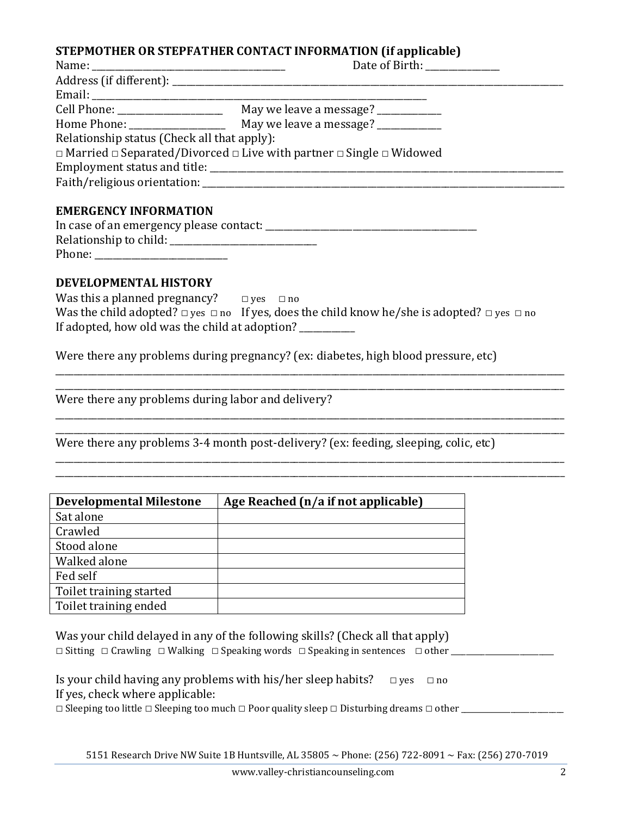#### **STEPMOTHER OR STEPFATHER CONTACT INFORMATION (if applicable)**

|                                             | Date of Birth: _____________                                                                   |
|---------------------------------------------|------------------------------------------------------------------------------------------------|
|                                             |                                                                                                |
|                                             |                                                                                                |
|                                             |                                                                                                |
|                                             |                                                                                                |
| Relationship status (Check all that apply): |                                                                                                |
|                                             | $\Box$ Married $\Box$ Separated/Divorced $\Box$ Live with partner $\Box$ Single $\Box$ Widowed |
|                                             |                                                                                                |
|                                             |                                                                                                |
| <b>EMERGENCY INFORMATION</b>                |                                                                                                |
|                                             |                                                                                                |
|                                             |                                                                                                |
|                                             |                                                                                                |

#### **DEVELOPMENTAL HISTORY**

| Was this a planned pregnancy?                  | $\Box$ ves $\Box$ no |                                                                                                                 |
|------------------------------------------------|----------------------|-----------------------------------------------------------------------------------------------------------------|
|                                                |                      | Was the child adopted? $\Box$ yes $\Box$ no If yes, does the child know he/she is adopted? $\Box$ yes $\Box$ no |
| If adopted, how old was the child at adoption? |                      |                                                                                                                 |

\_\_\_\_\_\_\_\_\_\_\_\_\_\_\_\_\_\_\_\_\_\_\_\_\_\_\_\_\_\_\_\_\_\_\_\_\_\_\_\_\_\_\_\_\_\_\_\_\_\_\_\_\_\_\_\_\_\_\_\_\_\_\_\_\_\_\_\_\_\_\_\_\_\_\_\_\_\_\_\_\_\_\_\_\_\_\_\_\_\_\_\_\_\_\_\_\_\_\_\_\_\_\_\_\_\_\_\_\_\_\_ \_\_\_\_\_\_\_\_\_\_\_\_\_\_\_\_\_\_\_\_\_\_\_\_\_\_\_\_\_\_\_\_\_\_\_\_\_\_\_\_\_\_\_\_\_\_\_\_\_\_\_\_\_\_\_\_\_\_\_\_\_\_\_\_\_\_\_\_\_\_\_\_\_\_\_\_\_\_\_\_\_\_\_\_\_\_\_\_\_\_\_\_\_\_\_\_\_\_\_\_\_\_\_\_\_\_\_\_\_\_\_

\_\_\_\_\_\_\_\_\_\_\_\_\_\_\_\_\_\_\_\_\_\_\_\_\_\_\_\_\_\_\_\_\_\_\_\_\_\_\_\_\_\_\_\_\_\_\_\_\_\_\_\_\_\_\_\_\_\_\_\_\_\_\_\_\_\_\_\_\_\_\_\_\_\_\_\_\_\_\_\_\_\_\_\_\_\_\_\_\_\_\_\_\_\_\_\_\_\_\_\_\_\_\_\_\_\_\_\_\_\_\_ \_\_\_\_\_\_\_\_\_\_\_\_\_\_\_\_\_\_\_\_\_\_\_\_\_\_\_\_\_\_\_\_\_\_\_\_\_\_\_\_\_\_\_\_\_\_\_\_\_\_\_\_\_\_\_\_\_\_\_\_\_\_\_\_\_\_\_\_\_\_\_\_\_\_\_\_\_\_\_\_\_\_\_\_\_\_\_\_\_\_\_\_\_\_\_\_\_\_\_\_\_\_\_\_\_\_\_\_\_\_\_

\_\_\_\_\_\_\_\_\_\_\_\_\_\_\_\_\_\_\_\_\_\_\_\_\_\_\_\_\_\_\_\_\_\_\_\_\_\_\_\_\_\_\_\_\_\_\_\_\_\_\_\_\_\_\_\_\_\_\_\_\_\_\_\_\_\_\_\_\_\_\_\_\_\_\_\_\_\_\_\_\_\_\_\_\_\_\_\_\_\_\_\_\_\_\_\_\_\_\_\_\_\_\_\_\_\_\_\_\_\_\_ \_\_\_\_\_\_\_\_\_\_\_\_\_\_\_\_\_\_\_\_\_\_\_\_\_\_\_\_\_\_\_\_\_\_\_\_\_\_\_\_\_\_\_\_\_\_\_\_\_\_\_\_\_\_\_\_\_\_\_\_\_\_\_\_\_\_\_\_\_\_\_\_\_\_\_\_\_\_\_\_\_\_\_\_\_\_\_\_\_\_\_\_\_\_\_\_\_\_\_\_\_\_\_\_\_\_\_\_\_\_\_

Were there any problems during pregnancy? (ex: diabetes, high blood pressure, etc)

Were there any problems during labor and delivery?

Were there any problems 3-4 month post-delivery? (ex: feeding, sleeping, colic, etc)

| <b>Developmental Milestone</b> | Age Reached (n/a if not applicable) |
|--------------------------------|-------------------------------------|
| Sat alone                      |                                     |
| Crawled                        |                                     |
| Stood alone                    |                                     |
| Walked alone                   |                                     |
| Fed self                       |                                     |
| Toilet training started        |                                     |
| Toilet training ended          |                                     |

| Was your child delayed in any of the following skills? (Check all that apply)<br>$\Box$ Sitting $\Box$ Crawling $\Box$ Walking $\Box$ Speaking words $\Box$ Speaking in sentences $\Box$ other                                                           |
|----------------------------------------------------------------------------------------------------------------------------------------------------------------------------------------------------------------------------------------------------------|
| Is your child having any problems with his/her sleep habits?<br>$\Box$ yes $\Box$ no<br>If yes, check where applicable:<br>$\Box$ Sleeping too little $\Box$ Sleeping too much $\Box$ Poor quality sleep $\Box$ Disturbing dreams $\Box$ other _________ |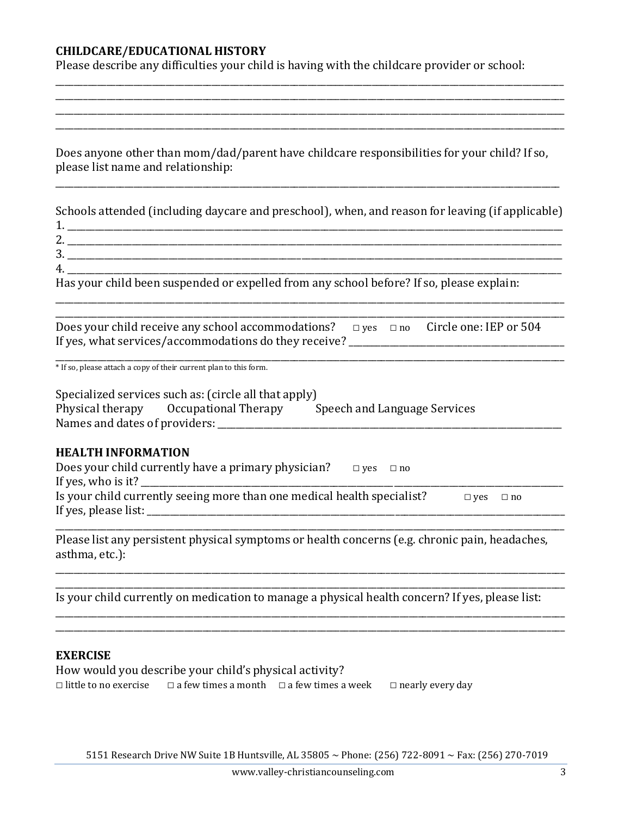## **CHILDCARE/EDUCATIONAL HISTORY**

Please describe any difficulties your child is having with the childcare provider or school:

\_\_\_\_\_\_\_\_\_\_\_\_\_\_\_\_\_\_\_\_\_\_\_\_\_\_\_\_\_\_\_\_\_\_\_\_\_\_\_\_\_\_\_\_\_\_\_\_\_\_\_\_\_\_\_\_\_\_\_\_\_\_\_\_\_\_\_\_\_\_\_\_\_\_\_\_\_\_\_\_\_\_\_\_\_\_\_\_\_\_\_\_\_\_\_\_\_\_\_\_\_\_\_\_\_\_\_\_\_\_\_ \_\_\_\_\_\_\_\_\_\_\_\_\_\_\_\_\_\_\_\_\_\_\_\_\_\_\_\_\_\_\_\_\_\_\_\_\_\_\_\_\_\_\_\_\_\_\_\_\_\_\_\_\_\_\_\_\_\_\_\_\_\_\_\_\_\_\_\_\_\_\_\_\_\_\_\_\_\_\_\_\_\_\_\_\_\_\_\_\_\_\_\_\_\_\_\_\_\_\_\_\_\_\_\_\_\_\_\_\_\_\_ \_\_\_\_\_\_\_\_\_\_\_\_\_\_\_\_\_\_\_\_\_\_\_\_\_\_\_\_\_\_\_\_\_\_\_\_\_\_\_\_\_\_\_\_\_\_\_\_\_\_\_\_\_\_\_\_\_\_\_\_\_\_\_\_\_\_\_\_\_\_\_\_\_\_\_\_\_\_\_\_\_\_\_\_\_\_\_\_\_\_\_\_\_\_\_\_\_\_\_\_\_\_\_\_\_\_\_\_\_\_\_ \_\_\_\_\_\_\_\_\_\_\_\_\_\_\_\_\_\_\_\_\_\_\_\_\_\_\_\_\_\_\_\_\_\_\_\_\_\_\_\_\_\_\_\_\_\_\_\_\_\_\_\_\_\_\_\_\_\_\_\_\_\_\_\_\_\_\_\_\_\_\_\_\_\_\_\_\_\_\_\_\_\_\_\_\_\_\_\_\_\_\_\_\_\_\_\_\_\_\_\_\_\_\_\_\_\_\_\_\_\_\_

| Does anyone other than mom/dad/parent have childcare responsibilities for your child? If so, |  |
|----------------------------------------------------------------------------------------------|--|
| please list name and relationship:                                                           |  |

Schools attended (including daycare and preschool), when, and reason for leaving (if applicable)

\_\_\_\_\_\_\_\_\_\_\_\_\_\_\_\_\_\_\_\_\_\_\_\_\_\_\_\_\_\_\_\_\_\_\_\_\_\_\_\_\_\_\_\_\_\_\_\_\_\_\_\_\_\_\_\_\_\_\_\_\_\_\_\_\_\_\_\_\_\_\_\_\_\_\_\_\_\_\_\_\_\_\_\_\_\_\_\_\_\_\_\_\_\_\_\_\_\_\_\_\_\_\_\_\_\_\_\_\_\_

| -             |  |
|---------------|--|
| r<br><u>.</u> |  |
| ັບ            |  |
| 4             |  |
|               |  |

\_\_\_\_\_\_\_\_\_\_\_\_\_\_\_\_\_\_\_\_\_\_\_\_\_\_\_\_\_\_\_\_\_\_\_\_\_\_\_\_\_\_\_\_\_\_\_\_\_\_\_\_\_\_\_\_\_\_\_\_\_\_\_\_\_\_\_\_\_\_\_\_\_\_\_\_\_\_\_\_\_\_\_\_\_\_\_\_\_\_\_\_\_\_\_\_\_\_\_\_\_\_\_\_\_\_\_\_\_\_\_

Has your child been suspended or expelled from any school before? If so, please explain:

| Does your child receive any school accommodations? $\Box$ yes $\Box$ no Circle one: IEP or 504 |  |  |
|------------------------------------------------------------------------------------------------|--|--|
| If yes, what services/accommodations do they receive?                                          |  |  |

\_\_\_\_\_\_\_\_\_\_\_\_\_\_\_\_\_\_\_\_\_\_\_\_\_\_\_\_\_\_\_\_\_\_\_\_\_\_\_\_\_\_\_\_\_\_\_\_\_\_\_\_\_\_\_\_\_\_\_\_\_\_\_\_\_\_\_\_\_\_\_\_\_\_\_\_\_\_\_\_\_\_\_\_\_\_\_\_\_\_\_\_\_\_\_\_\_\_\_\_\_\_\_\_\_\_\_\_\_\_\_ \* If so, please attach a copy of their current plan to this form.

| Specialized services such as: (circle all that apply) |                                       |                              |  |  |
|-------------------------------------------------------|---------------------------------------|------------------------------|--|--|
|                                                       | Physical therapy Occupational Therapy | Speech and Language Services |  |  |
| Names and dates of providers:                         |                                       |                              |  |  |

#### **HEALTH INFORMATION**

| Does your child currently have a primary physician?                     | $\Box$ ves $\Box$ no |
|-------------------------------------------------------------------------|----------------------|
| If yes, who is it?                                                      |                      |
| Is your child currently seeing more than one medical health specialist? | $\Box$ ves $\Box$ no |
| If yes, please list:                                                    |                      |
|                                                                         |                      |

Please list any persistent physical symptoms or health concerns (e.g. chronic pain, headaches, asthma, etc.):

\_\_\_\_\_\_\_\_\_\_\_\_\_\_\_\_\_\_\_\_\_\_\_\_\_\_\_\_\_\_\_\_\_\_\_\_\_\_\_\_\_\_\_\_\_\_\_\_\_\_\_\_\_\_\_\_\_\_\_\_\_\_\_\_\_\_\_\_\_\_\_\_\_\_\_\_\_\_\_\_\_\_\_\_\_\_\_\_\_\_\_\_\_\_\_\_\_\_\_\_\_\_\_\_\_\_\_\_\_\_\_ \_\_\_\_\_\_\_\_\_\_\_\_\_\_\_\_\_\_\_\_\_\_\_\_\_\_\_\_\_\_\_\_\_\_\_\_\_\_\_\_\_\_\_\_\_\_\_\_\_\_\_\_\_\_\_\_\_\_\_\_\_\_\_\_\_\_\_\_\_\_\_\_\_\_\_\_\_\_\_\_\_\_\_\_\_\_\_\_\_\_\_\_\_\_\_\_\_\_\_\_\_\_\_\_\_\_\_\_\_\_\_

\_\_\_\_\_\_\_\_\_\_\_\_\_\_\_\_\_\_\_\_\_\_\_\_\_\_\_\_\_\_\_\_\_\_\_\_\_\_\_\_\_\_\_\_\_\_\_\_\_\_\_\_\_\_\_\_\_\_\_\_\_\_\_\_\_\_\_\_\_\_\_\_\_\_\_\_\_\_\_\_\_\_\_\_\_\_\_\_\_\_\_\_\_\_\_\_\_\_\_\_\_\_\_\_\_\_\_\_\_\_\_ \_\_\_\_\_\_\_\_\_\_\_\_\_\_\_\_\_\_\_\_\_\_\_\_\_\_\_\_\_\_\_\_\_\_\_\_\_\_\_\_\_\_\_\_\_\_\_\_\_\_\_\_\_\_\_\_\_\_\_\_\_\_\_\_\_\_\_\_\_\_\_\_\_\_\_\_\_\_\_\_\_\_\_\_\_\_\_\_\_\_\_\_\_\_\_\_\_\_\_\_\_\_\_\_\_\_\_\_\_\_\_

Is your child currently on medication to manage a physical health concern? If yes, please list:

#### **EXERCISE**

| How would you describe your child's physical activity? |                                                                                   |  |                         |  |
|--------------------------------------------------------|-----------------------------------------------------------------------------------|--|-------------------------|--|
|                                                        | $\Box$ little to no exercise $\Box$ a few times a month $\Box$ a few times a week |  | $\Box$ nearly every day |  |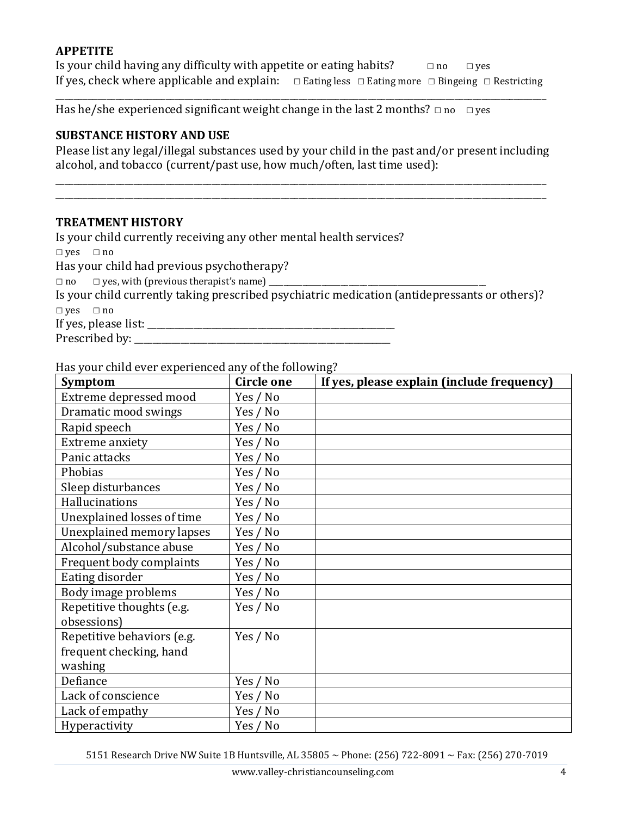#### **APPETITE**

Is your child having any difficulty with appetite or eating habits?  $\Box$  no  $\Box$  yes If yes, check where applicable and explain:  $\Box$  Eating less  $\Box$  Eating more  $\Box$  Bingeing  $\Box$  Restricting

\_\_\_\_\_\_\_\_\_\_\_\_\_\_\_\_\_\_\_\_\_\_\_\_\_\_\_\_\_\_\_\_\_\_\_\_\_\_\_\_\_\_\_\_\_\_\_\_\_\_\_\_\_\_\_\_\_\_\_\_\_\_\_\_\_\_\_\_\_\_\_\_\_\_\_\_\_\_\_\_\_\_\_\_\_\_\_\_\_\_\_\_\_\_\_\_\_\_\_\_\_\_\_\_\_\_\_

Has he/she experienced significant weight change in the last 2 months?  $\Box$  no  $\Box$  yes

#### **SUBSTANCE HISTORY AND USE**

Please list any legal/illegal substances used by your child in the past and/or present including alcohol, and tobacco (current/past use, how much/often, last time used):

\_\_\_\_\_\_\_\_\_\_\_\_\_\_\_\_\_\_\_\_\_\_\_\_\_\_\_\_\_\_\_\_\_\_\_\_\_\_\_\_\_\_\_\_\_\_\_\_\_\_\_\_\_\_\_\_\_\_\_\_\_\_\_\_\_\_\_\_\_\_\_\_\_\_\_\_\_\_\_\_\_\_\_\_\_\_\_\_\_\_\_\_\_\_\_\_\_\_\_\_\_\_\_\_\_\_\_ \_\_\_\_\_\_\_\_\_\_\_\_\_\_\_\_\_\_\_\_\_\_\_\_\_\_\_\_\_\_\_\_\_\_\_\_\_\_\_\_\_\_\_\_\_\_\_\_\_\_\_\_\_\_\_\_\_\_\_\_\_\_\_\_\_\_\_\_\_\_\_\_\_\_\_\_\_\_\_\_\_\_\_\_\_\_\_\_\_\_\_\_\_\_\_\_\_\_\_\_\_\_\_\_\_\_\_

#### **TREATMENT HISTORY**

Is your child currently receiving any other mental health services?

 $\square$  yes  $\square$  no

Has your child had previous psychotherapy?

 $\Box$  no  $\Box$  yes, with (previous therapist's name)

Is your child currently taking prescribed psychiatric medication (antidepressants or others)?

□ yes □ no

If yes, please list: \_\_\_\_\_\_\_\_\_\_\_\_\_\_\_\_\_\_\_\_\_\_\_\_\_\_\_\_\_\_\_\_\_\_\_\_\_\_\_\_\_\_\_\_\_\_\_\_\_\_\_\_\_\_

Prescribed by: \_\_\_\_\_\_\_\_\_\_\_\_\_\_\_\_\_\_\_\_\_\_\_\_\_\_\_\_\_\_\_\_\_\_\_\_\_\_\_\_\_\_\_\_\_\_\_\_\_\_\_\_\_\_\_\_

Has your child ever experienced any of the following?

| <b>Symptom</b>                                                   | <b>Circle one</b> | If yes, please explain (include frequency) |
|------------------------------------------------------------------|-------------------|--------------------------------------------|
| Extreme depressed mood                                           | Yes / No          |                                            |
| Dramatic mood swings                                             | Yes / No          |                                            |
| Rapid speech                                                     | Yes / No          |                                            |
| Extreme anxiety                                                  | Yes / No          |                                            |
| Panic attacks                                                    | Yes / No          |                                            |
| Phobias                                                          | Yes / No          |                                            |
| Sleep disturbances                                               | Yes / No          |                                            |
| <b>Hallucinations</b>                                            | Yes / No          |                                            |
| Unexplained losses of time                                       | Yes / No          |                                            |
| Unexplained memory lapses                                        | Yes / No          |                                            |
| Alcohol/substance abuse                                          | Yes / No          |                                            |
| Frequent body complaints                                         | Yes / No          |                                            |
| Eating disorder                                                  | Yes / No          |                                            |
| Body image problems                                              | Yes / No          |                                            |
| Repetitive thoughts (e.g.<br>obsessions)                         | Yes / No          |                                            |
| Repetitive behaviors (e.g.<br>frequent checking, hand<br>washing | Yes / No          |                                            |
| Defiance                                                         | Yes / No          |                                            |
| Lack of conscience                                               | Yes / No          |                                            |
| Lack of empathy                                                  | Yes / No          |                                            |
| Hyperactivity                                                    | Yes / No          |                                            |

5151 Research Drive NW Suite 1B Huntsville, AL 35805 ~ Phone: (256) 722-8091 ~ Fax: (256) 270-7019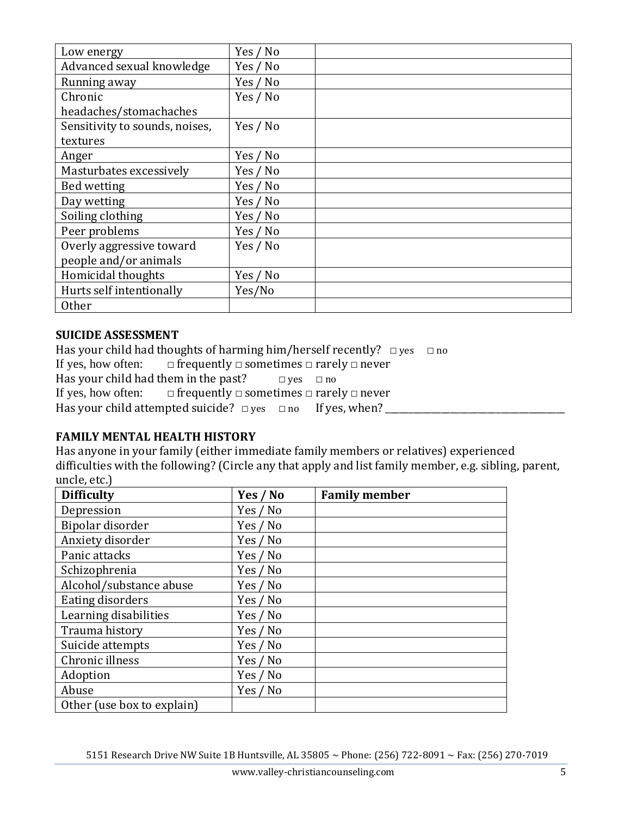| Low energy                     | Yes / No |
|--------------------------------|----------|
| Advanced sexual knowledge      | Yes / No |
| Running away                   | Yes / No |
| Chronic                        | Yes / No |
| headaches/stomachaches         |          |
| Sensitivity to sounds, noises, | Yes / No |
| textures                       |          |
| Anger                          | Yes / No |
| Masturbates excessively        | Yes / No |
| Bed wetting                    | Yes / No |
| Day wetting                    | Yes / No |
| Soiling clothing               | Yes / No |
| Peer problems                  | Yes / No |
| Overly aggressive toward       | Yes / No |
| people and/or animals          |          |
| Homicidal thoughts             | Yes / No |
| Hurts self intentionally       | Yes/No   |
| <b>Other</b>                   |          |

## **SUICIDE ASSESSMENT**

Has your child had thoughts of harming him/herself recently?  $\Box$  yes  $\Box$  no If yes, how often:  $\Box$  frequently  $\Box$  sometimes  $\Box$  rarely  $\Box$  never Has your child had them in the past?  $\Box$  yes  $\Box$  no If yes, how often:  $\Box$  frequently  $\Box$  sometimes  $\Box$  rarely  $\Box$  never Has your child attempted suicide? □ yes □ no If yes, when? \_\_\_\_\_\_\_\_\_\_\_\_\_\_\_\_\_\_\_\_\_\_\_\_\_\_\_\_\_\_\_\_\_\_\_\_\_\_\_

# **FAMILY MENTAL HEALTH HISTORY**

Has anyone in your family (either immediate family members or relatives) experienced difficulties with the following? (Circle any that apply and list family member, e.g. sibling, parent, uncle, etc.)

| <b>Difficulty</b>          | Yes / No | <b>Family member</b> |
|----------------------------|----------|----------------------|
| Depression                 | Yes / No |                      |
| Bipolar disorder           | Yes / No |                      |
| Anxiety disorder           | Yes / No |                      |
| Panic attacks              | Yes / No |                      |
| Schizophrenia              | Yes / No |                      |
| Alcohol/substance abuse    | Yes / No |                      |
| Eating disorders           | Yes / No |                      |
| Learning disabilities      | Yes / No |                      |
| Trauma history             | Yes / No |                      |
| Suicide attempts           | Yes / No |                      |
| Chronic illness            | Yes / No |                      |
| Adoption                   | Yes / No |                      |
| Abuse                      | Yes / No |                      |
| Other (use box to explain) |          |                      |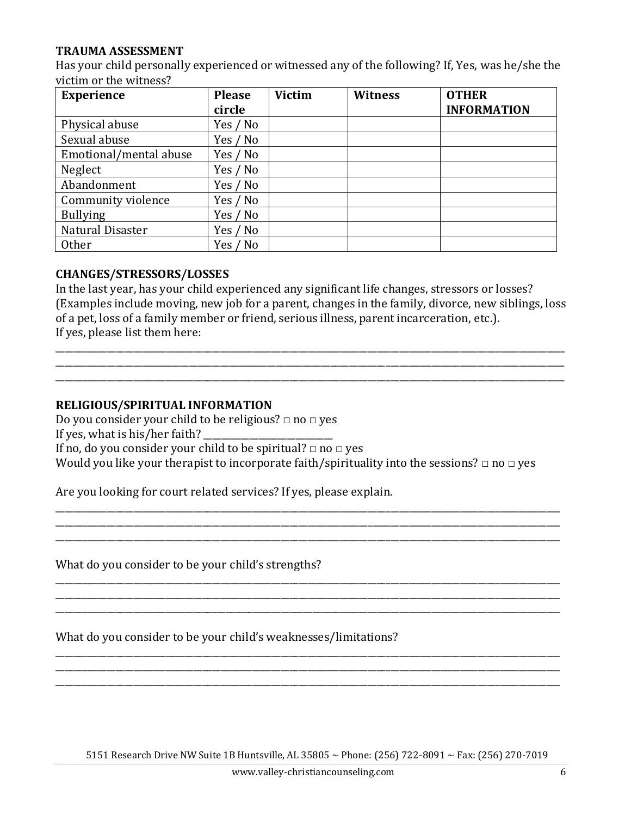# **TRAUMA ASSESSMENT**

Has your child personally experienced or witnessed any of the following? If, Yes, was he/she the victim or the witness?

| <b>Experience</b>      | <b>Please</b> | <b>Victim</b> | <b>Witness</b> | <b>OTHER</b>       |
|------------------------|---------------|---------------|----------------|--------------------|
|                        | circle        |               |                | <b>INFORMATION</b> |
| Physical abuse         | Yes / No      |               |                |                    |
| Sexual abuse           | Yes / No      |               |                |                    |
| Emotional/mental abuse | Yes / No      |               |                |                    |
| Neglect                | Yes / No      |               |                |                    |
| Abandonment            | Yes / No      |               |                |                    |
| Community violence     | Yes / No      |               |                |                    |
| <b>Bullying</b>        | Yes / No      |               |                |                    |
| Natural Disaster       | Yes / No      |               |                |                    |
| <b>Other</b>           | Yes / No      |               |                |                    |

## **CHANGES/STRESSORS/LOSSES**

In the last year, has your child experienced any significant life changes, stressors or losses? (Examples include moving, new job for a parent, changes in the family, divorce, new siblings, loss of a pet, loss of a family member or friend, serious illness, parent incarceration, etc.). If yes, please list them here:

\_\_\_\_\_\_\_\_\_\_\_\_\_\_\_\_\_\_\_\_\_\_\_\_\_\_\_\_\_\_\_\_\_\_\_\_\_\_\_\_\_\_\_\_\_\_\_\_\_\_\_\_\_\_\_\_\_\_\_\_\_\_\_\_\_\_\_\_\_\_\_\_\_\_\_\_\_\_\_\_\_\_\_\_\_\_\_\_\_\_\_\_\_\_\_\_\_\_\_\_\_\_\_\_\_\_\_\_\_\_\_ \_\_\_\_\_\_\_\_\_\_\_\_\_\_\_\_\_\_\_\_\_\_\_\_\_\_\_\_\_\_\_\_\_\_\_\_\_\_\_\_\_\_\_\_\_\_\_\_\_\_\_\_\_\_\_\_\_\_\_\_\_\_\_\_\_\_\_\_\_\_\_\_\_\_\_\_\_\_\_\_\_\_\_\_\_\_\_\_\_\_\_\_\_\_\_\_\_\_\_\_\_\_\_\_\_\_\_\_\_\_\_ \_\_\_\_\_\_\_\_\_\_\_\_\_\_\_\_\_\_\_\_\_\_\_\_\_\_\_\_\_\_\_\_\_\_\_\_\_\_\_\_\_\_\_\_\_\_\_\_\_\_\_\_\_\_\_\_\_\_\_\_\_\_\_\_\_\_\_\_\_\_\_\_\_\_\_\_\_\_\_\_\_\_\_\_\_\_\_\_\_\_\_\_\_\_\_\_\_\_\_\_\_\_\_\_\_\_\_\_\_\_\_

# **RELIGIOUS/SPIRITUAL INFORMATION**

Do you consider your child to be religious?  $\Box$  no  $\Box$  yes If yes, what is his/her faith? If no, do you consider your child to be spiritual?  $\Box$  no  $\Box$  yes Would you like your therapist to incorporate faith/spirituality into the sessions?  $\Box$  no  $\Box$  yes

\_\_\_\_\_\_\_\_\_\_\_\_\_\_\_\_\_\_\_\_\_\_\_\_\_\_\_\_\_\_\_\_\_\_\_\_\_\_\_\_\_\_\_\_\_\_\_\_\_\_\_\_\_\_\_\_\_\_\_\_\_\_\_\_\_\_\_\_\_\_\_\_\_\_\_\_\_\_\_\_\_\_\_\_\_\_\_\_\_\_\_\_\_\_\_\_\_\_\_\_\_\_\_\_\_\_\_\_\_\_ \_\_\_\_\_\_\_\_\_\_\_\_\_\_\_\_\_\_\_\_\_\_\_\_\_\_\_\_\_\_\_\_\_\_\_\_\_\_\_\_\_\_\_\_\_\_\_\_\_\_\_\_\_\_\_\_\_\_\_\_\_\_\_\_\_\_\_\_\_\_\_\_\_\_\_\_\_\_\_\_\_\_\_\_\_\_\_\_\_\_\_\_\_\_\_\_\_\_\_\_\_\_\_\_\_\_\_\_\_\_ \_\_\_\_\_\_\_\_\_\_\_\_\_\_\_\_\_\_\_\_\_\_\_\_\_\_\_\_\_\_\_\_\_\_\_\_\_\_\_\_\_\_\_\_\_\_\_\_\_\_\_\_\_\_\_\_\_\_\_\_\_\_\_\_\_\_\_\_\_\_\_\_\_\_\_\_\_\_\_\_\_\_\_\_\_\_\_\_\_\_\_\_\_\_\_\_\_\_\_\_\_\_\_\_\_\_\_\_\_\_

\_\_\_\_\_\_\_\_\_\_\_\_\_\_\_\_\_\_\_\_\_\_\_\_\_\_\_\_\_\_\_\_\_\_\_\_\_\_\_\_\_\_\_\_\_\_\_\_\_\_\_\_\_\_\_\_\_\_\_\_\_\_\_\_\_\_\_\_\_\_\_\_\_\_\_\_\_\_\_\_\_\_\_\_\_\_\_\_\_\_\_\_\_\_\_\_\_\_\_\_\_\_\_\_\_\_\_\_\_\_ \_\_\_\_\_\_\_\_\_\_\_\_\_\_\_\_\_\_\_\_\_\_\_\_\_\_\_\_\_\_\_\_\_\_\_\_\_\_\_\_\_\_\_\_\_\_\_\_\_\_\_\_\_\_\_\_\_\_\_\_\_\_\_\_\_\_\_\_\_\_\_\_\_\_\_\_\_\_\_\_\_\_\_\_\_\_\_\_\_\_\_\_\_\_\_\_\_\_\_\_\_\_\_\_\_\_\_\_\_\_ \_\_\_\_\_\_\_\_\_\_\_\_\_\_\_\_\_\_\_\_\_\_\_\_\_\_\_\_\_\_\_\_\_\_\_\_\_\_\_\_\_\_\_\_\_\_\_\_\_\_\_\_\_\_\_\_\_\_\_\_\_\_\_\_\_\_\_\_\_\_\_\_\_\_\_\_\_\_\_\_\_\_\_\_\_\_\_\_\_\_\_\_\_\_\_\_\_\_\_\_\_\_\_\_\_\_\_\_\_\_

\_\_\_\_\_\_\_\_\_\_\_\_\_\_\_\_\_\_\_\_\_\_\_\_\_\_\_\_\_\_\_\_\_\_\_\_\_\_\_\_\_\_\_\_\_\_\_\_\_\_\_\_\_\_\_\_\_\_\_\_\_\_\_\_\_\_\_\_\_\_\_\_\_\_\_\_\_\_\_\_\_\_\_\_\_\_\_\_\_\_\_\_\_\_\_\_\_\_\_\_\_\_\_\_\_\_\_\_\_\_ \_\_\_\_\_\_\_\_\_\_\_\_\_\_\_\_\_\_\_\_\_\_\_\_\_\_\_\_\_\_\_\_\_\_\_\_\_\_\_\_\_\_\_\_\_\_\_\_\_\_\_\_\_\_\_\_\_\_\_\_\_\_\_\_\_\_\_\_\_\_\_\_\_\_\_\_\_\_\_\_\_\_\_\_\_\_\_\_\_\_\_\_\_\_\_\_\_\_\_\_\_\_\_\_\_\_\_\_\_\_ \_\_\_\_\_\_\_\_\_\_\_\_\_\_\_\_\_\_\_\_\_\_\_\_\_\_\_\_\_\_\_\_\_\_\_\_\_\_\_\_\_\_\_\_\_\_\_\_\_\_\_\_\_\_\_\_\_\_\_\_\_\_\_\_\_\_\_\_\_\_\_\_\_\_\_\_\_\_\_\_\_\_\_\_\_\_\_\_\_\_\_\_\_\_\_\_\_\_\_\_\_\_\_\_\_\_\_\_\_\_

Are you looking for court related services? If yes, please explain.

What do you consider to be your child's strengths?

What do you consider to be your child's weaknesses/limitations?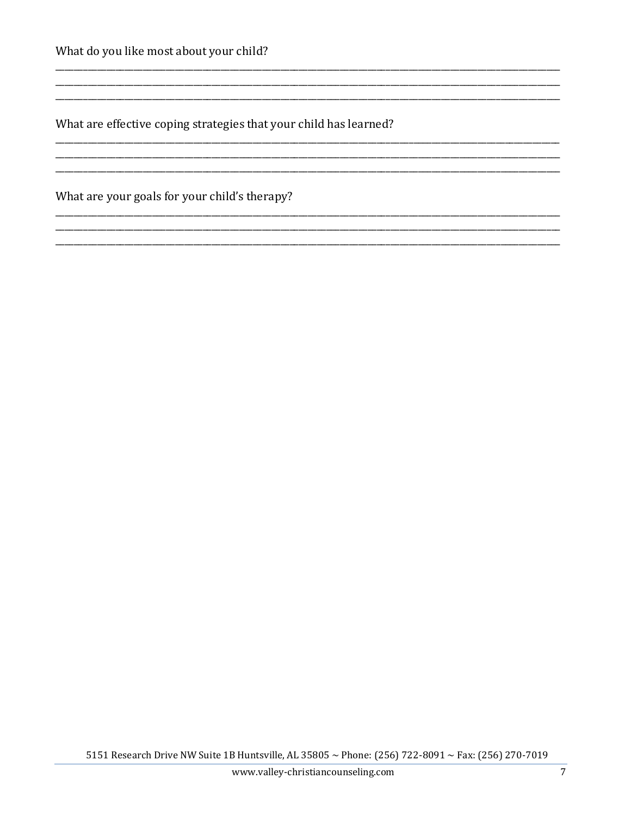What are effective coping strategies that your child has learned?

What are your goals for your child's therapy?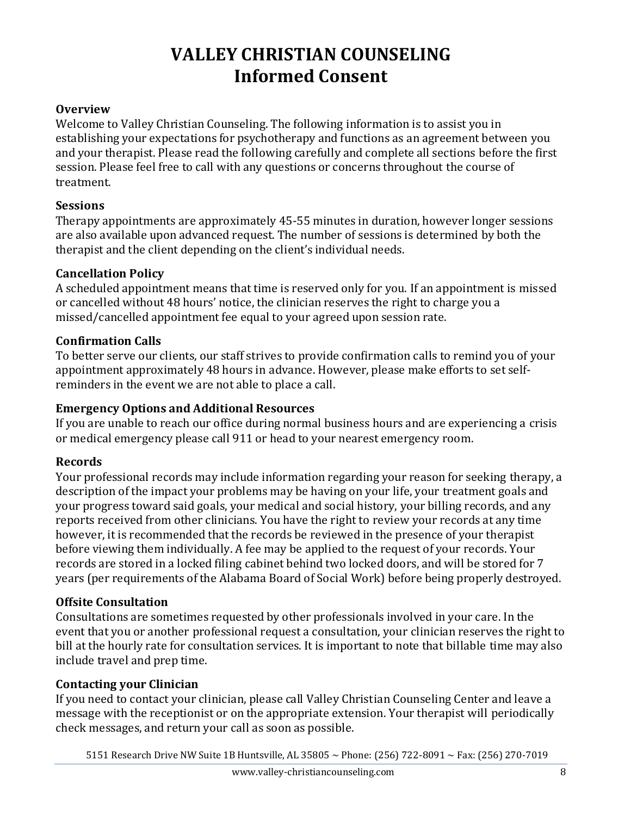# **VALLEY CHRISTIAN COUNSELING Informed Consent**

# **Overview**

Welcome to Valley Christian Counseling. The following information is to assist you in establishing your expectations for psychotherapy and functions as an agreement between you and your therapist. Please read the following carefully and complete all sections before the first session. Please feel free to call with any questions or concerns throughout the course of treatment.

#### **Sessions**

Therapy appointments are approximately 45-55 minutes in duration, however longer sessions are also available upon advanced request. The number of sessions is determined by both the therapist and the client depending on the client's individual needs.

## **Cancellation Policy**

A scheduled appointment means that time is reserved only for you. If an appointment is missed or cancelled without 48 hours' notice, the clinician reserves the right to charge you a missed/cancelled appointment fee equal to your agreed upon session rate.

#### **Confirmation Calls**

To better serve our clients, our staff strives to provide confirmation calls to remind you of your appointment approximately 48 hours in advance. However, please make efforts to set selfreminders in the event we are not able to place a call.

#### **Emergency Options and Additional Resources**

If you are unable to reach our office during normal business hours and are experiencing a crisis or medical emergency please call 911 or head to your nearest emergency room.

#### **Records**

Your professional records may include information regarding your reason for seeking therapy, a description of the impact your problems may be having on your life, your treatment goals and your progress toward said goals, your medical and social history, your billing records, and any reports received from other clinicians. You have the right to review your records at any time however, it is recommended that the records be reviewed in the presence of your therapist before viewing them individually. A fee may be applied to the request of your records. Your records are stored in a locked filing cabinet behind two locked doors, and will be stored for 7 years (per requirements of the Alabama Board of Social Work) before being properly destroyed.

# **Offsite Consultation**

Consultations are sometimes requested by other professionals involved in your care. In the event that you or another professional request a consultation, your clinician reserves the right to bill at the hourly rate for consultation services. It is important to note that billable time may also include travel and prep time.

# **Contacting your Clinician**

If you need to contact your clinician, please call Valley Christian Counseling Center and leave a message with the receptionist or on the appropriate extension. Your therapist will periodically check messages, and return your call as soon as possible.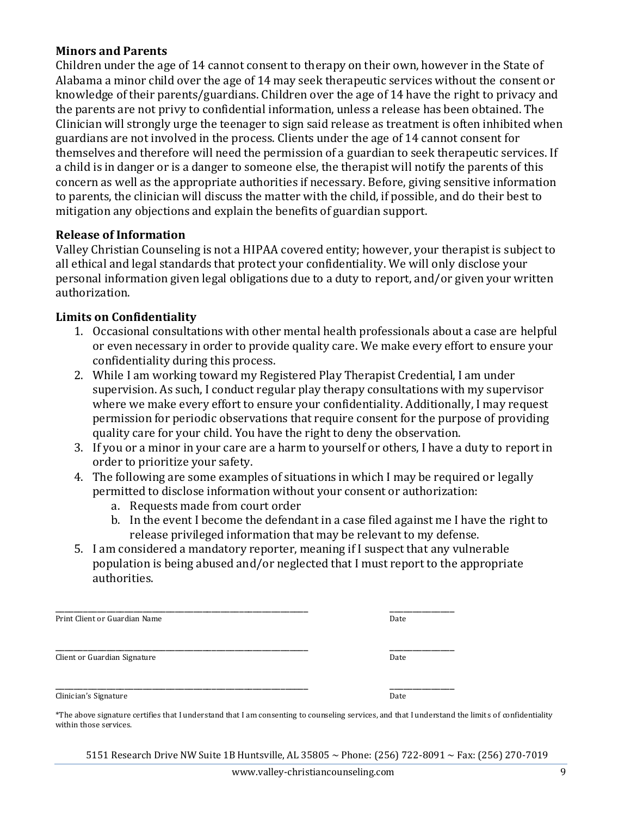# **Minors and Parents**

Children under the age of 14 cannot consent to therapy on their own, however in the State of Alabama a minor child over the age of 14 may seek therapeutic services without the consent or knowledge of their parents/guardians. Children over the age of 14 have the right to privacy and the parents are not privy to confidential information, unless a release has been obtained. The Clinician will strongly urge the teenager to sign said release as treatment is often inhibited when guardians are not involved in the process. Clients under the age of 14 cannot consent for themselves and therefore will need the permission of a guardian to seek therapeutic services. If a child is in danger or is a danger to someone else, the therapist will notify the parents of this concern as well as the appropriate authorities if necessary. Before, giving sensitive information to parents, the clinician will discuss the matter with the child, if possible, and do their best to mitigation any objections and explain the benefits of guardian support.

#### **Release of Information**

Valley Christian Counseling is not a HIPAA covered entity; however, your therapist is subject to all ethical and legal standards that protect your confidentiality. We will only disclose your personal information given legal obligations due to a duty to report, and/or given your written authorization.

# **Limits on Confidentiality**

- 1. Occasional consultations with other mental health professionals about a case are helpful or even necessary in order to provide quality care. We make every effort to ensure your confidentiality during this process.
- 2. While I am working toward my Registered Play Therapist Credential, I am under supervision. As such, I conduct regular play therapy consultations with my supervisor where we make every effort to ensure your confidentiality. Additionally, I may request permission for periodic observations that require consent for the purpose of providing quality care for your child. You have the right to deny the observation.
- 3. If you or a minor in your care are a harm to yourself or others, I have a duty to report in order to prioritize your safety.
- 4. The following are some examples of situations in which I may be required or legally permitted to disclose information without your consent or authorization:
	- a. Requests made from court order
	- b. In the event I become the defendant in a case filed against me I have the right to release privileged information that may be relevant to my defense.
- 5. I am considered a mandatory reporter, meaning if I suspect that any vulnerable population is being abused and/or neglected that I must report to the appropriate authorities.

| Print Client or Guardian Name | Date |
|-------------------------------|------|
| Client or Guardian Signature  | Date |
| Clinician's Signature         | Date |

\*The above signature certifies that I understand that I am consenting to counseling services, and that I understand the limit s of confidentiality within those services.

5151 Research Drive NW Suite 1B Huntsville, AL 35805 ~ Phone: (256) 722-8091 ~ Fax: (256) 270-7019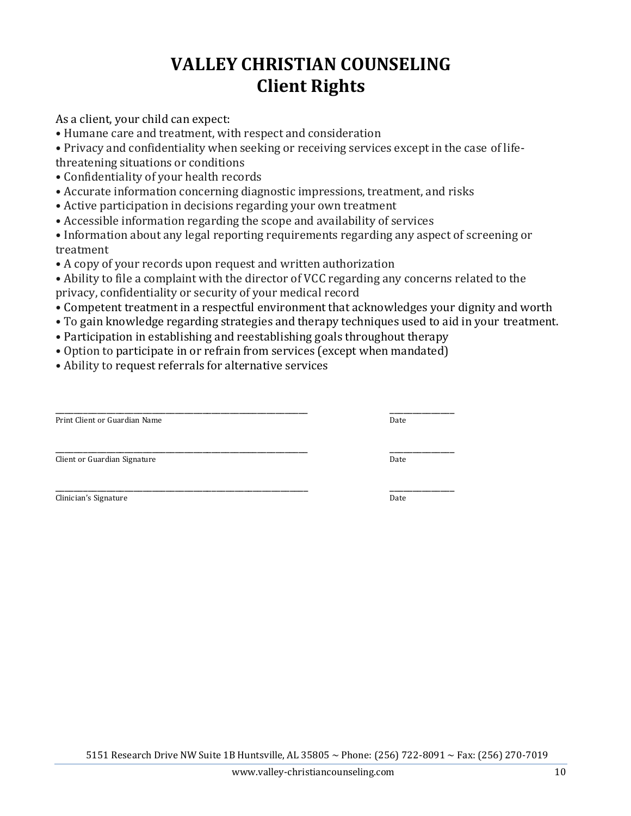# **VALLEY CHRISTIAN COUNSELING Client Rights**

As a client, your child can expect:

• Humane care and treatment, with respect and consideration

• Privacy and confidentiality when seeking or receiving services except in the case of lifethreatening situations or conditions

- Confidentiality of your health records
- Accurate information concerning diagnostic impressions, treatment, and risks
- Active participation in decisions regarding your own treatment
- Accessible information regarding the scope and availability of services
- Information about any legal reporting requirements regarding any aspect of screening or treatment
- A copy of your records upon request and written authorization
- Ability to file a complaint with the director of VCC regarding any concerns related to the privacy, confidentiality or security of your medical record
- Competent treatment in a respectful environment that acknowledges your dignity and worth
- To gain knowledge regarding strategies and therapy techniques used to aid in your treatment.
- Participation in establishing and reestablishing goals throughout therapy
- Option to participate in or refrain from services (except when mandated)
- Ability to request referrals for alternative services

| Print Client or Guardian Name | Date |
|-------------------------------|------|
| Client or Guardian Signature  | Date |
| Clinician's Signature         | Date |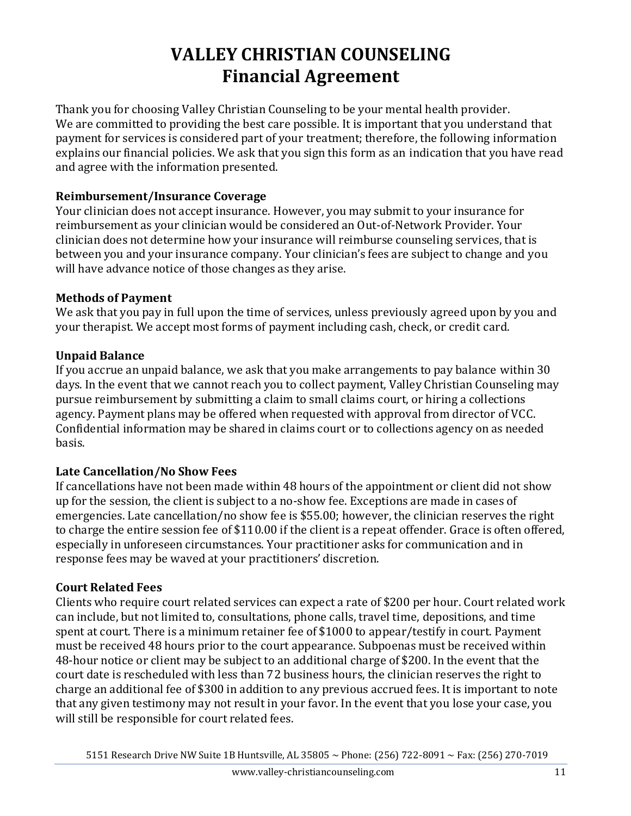# **VALLEY CHRISTIAN COUNSELING Financial Agreement**

Thank you for choosing Valley Christian Counseling to be your mental health provider. We are committed to providing the best care possible. It is important that you understand that payment for services is considered part of your treatment; therefore, the following information explains our financial policies. We ask that you sign this form as an indication that you have read and agree with the information presented.

# **Reimbursement/Insurance Coverage**

Your clinician does not accept insurance. However, you may submit to your insurance for reimbursement as your clinician would be considered an Out-of-Network Provider. Your clinician does not determine how your insurance will reimburse counseling services, that is between you and your insurance company. Your clinician's fees are subject to change and you will have advance notice of those changes as they arise.

# **Methods of Payment**

We ask that you pay in full upon the time of services, unless previously agreed upon by you and your therapist. We accept most forms of payment including cash, check, or credit card.

# **Unpaid Balance**

If you accrue an unpaid balance, we ask that you make arrangements to pay balance within 30 days. In the event that we cannot reach you to collect payment, Valley Christian Counseling may pursue reimbursement by submitting a claim to small claims court, or hiring a collections agency. Payment plans may be offered when requested with approval from director of VCC. Confidential information may be shared in claims court or to collections agency on as needed basis.

# **Late Cancellation/No Show Fees**

If cancellations have not been made within 48 hours of the appointment or client did not show up for the session, the client is subject to a no-show fee. Exceptions are made in cases of emergencies. Late cancellation/no show fee is \$55.00; however, the clinician reserves the right to charge the entire session fee of \$110.00 if the client is a repeat offender. Grace is often offered, especially in unforeseen circumstances. Your practitioner asks for communication and in response fees may be waved at your practitioners' discretion.

# **Court Related Fees**

Clients who require court related services can expect a rate of \$200 per hour. Court related work can include, but not limited to, consultations, phone calls, travel time, depositions, and time spent at court. There is a minimum retainer fee of \$1000 to appear/testify in court. Payment must be received 48 hours prior to the court appearance. Subpoenas must be received within 48-hour notice or client may be subject to an additional charge of \$200. In the event that the court date is rescheduled with less than 72 business hours, the clinician reserves the right to charge an additional fee of \$300 in addition to any previous accrued fees. It is important to note that any given testimony may not result in your favor. In the event that you lose your case, you will still be responsible for court related fees.